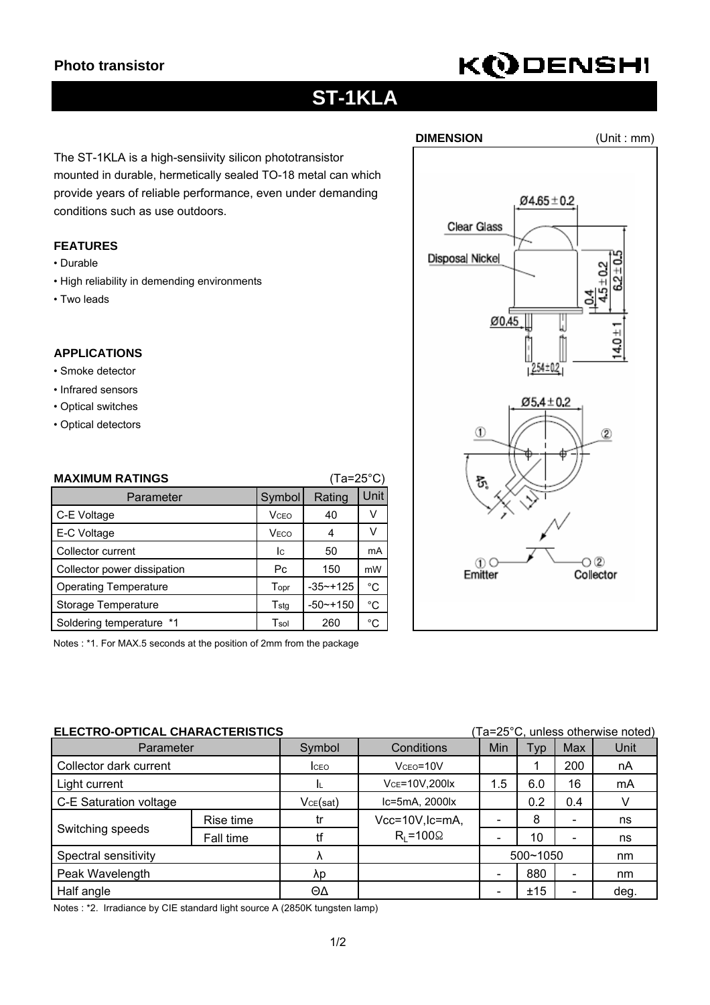# **KODENSHI**

## **ST-1KLA**

The ST-1KLA is a high-sensiivity silicon phototransistor mounted in durable, hermetically sealed TO-18 metal can which provide years of reliable performance, even under demanding conditions such as use outdoors.

### **FEATURES**

- Durable
- High reliability in demending environments
- Two leads

### **APPLICATIONS**

- Smoke detector
- Infrared sensors
- Optical switches
- Optical detectors

| $(Ta=25^{\circ}C)$<br><b>MAXIMUM RATINGS</b> |                         |              |              |  |
|----------------------------------------------|-------------------------|--------------|--------------|--|
| Symbol<br>Parameter                          |                         | Rating       | Unit         |  |
| C-E Voltage                                  | <b>V</b> <sub>CEO</sub> | 40           | V            |  |
| E-C Voltage                                  | VECO                    | 4            | v            |  |
| Collector current                            | Ic.                     | 50           | mA           |  |
| Collector power dissipation                  | Pc                      | 150          | mW           |  |
| <b>Operating Temperature</b>                 | Topr                    | $-35 - +125$ | °C           |  |
| Storage Temperature                          | Tstg                    | $-50$ ~+150  | °C           |  |
| Soldering temperature *1                     | Tsol                    | 260          | $^{\circ}$ C |  |

Notes : \*1. For MAX.5 seconds at the position of 2mm from the package

| ELECTRO-OPTICAL CHARACTERISTICS |           |              |                      |          | (Ta=25°C, unless otherwise noted) |                          |      |  |
|---------------------------------|-----------|--------------|----------------------|----------|-----------------------------------|--------------------------|------|--|
| Parameter                       |           | Symbol       | Conditions           | Min      | <b>Typ</b>                        | Max                      | Unit |  |
| Collector dark current          |           | <b>I</b> CEO | $Vceo = 10V$         |          |                                   | 200                      | nA   |  |
| Light current                   |           |              | VCE=10V,200lx        | 1.5      | 6.0                               | 16                       | mA   |  |
| C-E Saturation voltage          |           | VCE(sat)     | Ic=5mA, 2000lx       |          | 0.2                               | 0.4                      |      |  |
| Switching speeds                | Rise time | tr           | Vcc=10V, Ic=mA,      |          | 8                                 | $\overline{\phantom{a}}$ | ns   |  |
|                                 | Fall time | tf           | $R_{I} = 100 \Omega$ |          | 10                                | $\overline{\phantom{a}}$ | ns   |  |
| Spectral sensitivity            |           | Λ            |                      | 500~1050 |                                   | nm                       |      |  |
| Peak Wavelength                 |           | λp           |                      |          | 880                               | -                        | nm   |  |
| Half angle                      |           | ΘΔ           |                      |          | ±15                               | $\overline{\phantom{0}}$ | deg. |  |

Notes : \*2. Irradiance by CIE standard light source A (2850K tungsten lamp)